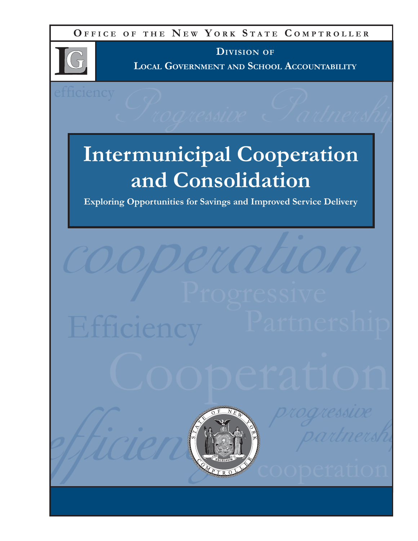**O FFICE O F THE N E W Y ORK S TATE C OMPTROLLER**



**DIVISION OF LOCAL GOVERNMENT AND SCHOOL ACCOUNTABILITY**

# **Intermunicipal Cooperation and Consolidation**

**Exploring Opportunities for Savings and Improved Service Delivery**

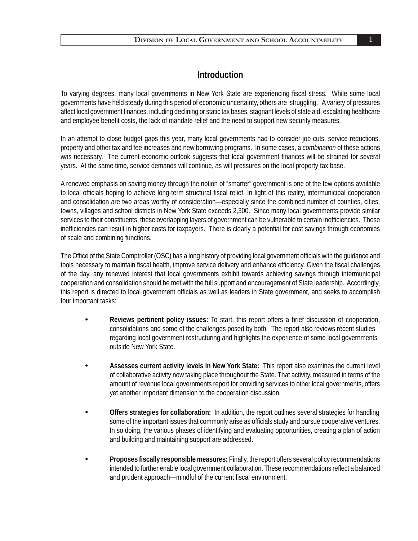#### **Introduction**

To varying degrees, many local governments in New York State are experiencing fiscal stress. While some local governments have held steady during this period of economic uncertainty, others are struggling. A variety of pressures affect local government finances, including declining or static tax bases, stagnant levels of state aid, escalating healthcare and employee benefit costs, the lack of mandate relief and the need to support new security measures.

In an attempt to close budget gaps this year, many local governments had to consider job cuts, service reductions, property and other tax and fee increases and new borrowing programs. In some cases, a *combination* of these actions was necessary. The current economic outlook suggests that local government finances will be strained for several years. At the same time, service demands will continue, as will pressures on the local property tax base.

A renewed emphasis on saving money through the notion of "smarter" government is one of the few options available to local officials hoping to achieve long-term structural fiscal relief. In light of this reality, intermunicipal cooperation and consolidation are two areas worthy of consideration—especially since the combined number of counties, cities, towns, villages and school districts in New York State exceeds 2,300. Since many local governments provide similar services to their constituents, these overlapping layers of government can be vulnerable to certain inefficiencies. These inefficiencies can result in higher costs for taxpayers. There is clearly a potential for cost savings through economies of scale and combining functions.

The Office of the State Comptroller (OSC) has a long history of providing local government officials with the guidance and tools necessary to maintain fiscal health, improve service delivery and enhance efficiency. Given the fiscal challenges of the day, any renewed interest that local governments exhibit towards achieving savings through intermunicipal cooperation and consolidation should be met with the full support and encouragement of State leadership. Accordingly, this report is directed to local government officials as well as leaders in State government, and seeks to accomplish four important tasks:

- **• Reviews pertinent policy issues:** To start, this report offers a brief discussion of cooperation, consolidations and some of the challenges posed by both. The report also reviews recent studies regarding local government restructuring and highlights the experience of some local governments outside New York State.
- **• Assesses current activity levels in New York State:** This report also examines the current level of collaborative activity now taking place throughout the State. That activity, measured in terms of the amount of revenue local governments report for providing services to other local governments, offers yet another important dimension to the cooperation discussion.
- **• Offers strategies for collaboration:** In addition, the report outlines several strategies for handling some of the important issues that commonly arise as officials study and pursue cooperative ventures. In so doing, the various phases of identifying and evaluating opportunities, creating a plan of action and building and maintaining support are addressed.
- **• Proposes fi scally responsible measures:** Finally, the report offers several policy recommendations intended to further enable local government collaboration. These recommendations reflect a balanced and prudent approach—mindful of the current fiscal environment.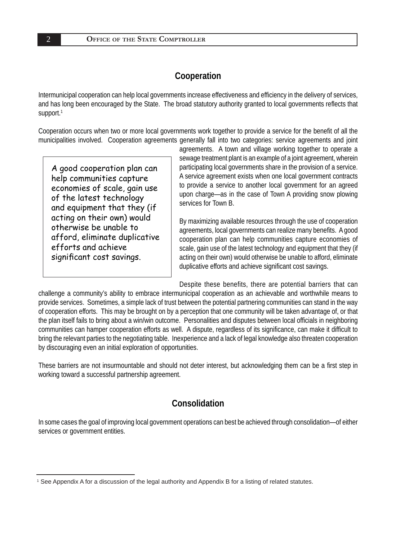## **Cooperation**

Intermunicipal cooperation can help local governments increase effectiveness and efficiency in the delivery of services, and has long been encouraged by the State. The broad statutory authority granted to local governments reflects that support.<sup>1</sup>

Cooperation occurs when two or more local governments work together to provide a service for the benefit of all the municipalities involved. Cooperation agreements generally fall into two categories: service agreements and joint

A good cooperation plan can help communities capture economies of scale, gain use of the latest technology and equipment that they (if acting on their own) would otherwise be unable to afford, eliminate duplicative efforts and achieve significant cost savings.

agreements. A town and village working together to operate a sewage treatment plant is an example of a joint agreement, wherein participating local governments share in the provision of a service. A service agreement exists when one local government contracts to provide a service to another local government for an agreed upon charge—as in the case of Town A providing snow plowing services for Town B.

By maximizing available resources through the use of cooperation agreements, local governments can realize many benefits. A good cooperation plan can help communities capture economies of scale, gain use of the latest technology and equipment that they (if acting on their own) would otherwise be unable to afford, eliminate duplicative efforts and achieve significant cost savings.

Despite these benefits, there are potential barriers that can

challenge a community's ability to embrace intermunicipal cooperation as an achievable and worthwhile means to provide services. Sometimes, a simple lack of trust between the potential partnering communities can stand in the way of cooperation efforts. This may be brought on by a perception that one community will be taken advantage of, or that the plan itself fails to bring about a win/win outcome. Personalities and disputes between local officials in neighboring communities can hamper cooperation efforts as well. A dispute, regardless of its significance, can make it difficult to bring the relevant parties to the negotiating table. Inexperience and a lack of legal knowledge also threaten cooperation by discouraging even an initial exploration of opportunities.

These barriers are not insurmountable and should not deter interest, but acknowledging them can be a first step in working toward a successful partnership agreement.

# **Consolidation**

In some cases the goal of improving local government operations can best be achieved through consolidation—of either services or government entities.

<sup>1</sup> See Appendix A for a discussion of the legal authority and Appendix B for a listing of related statutes.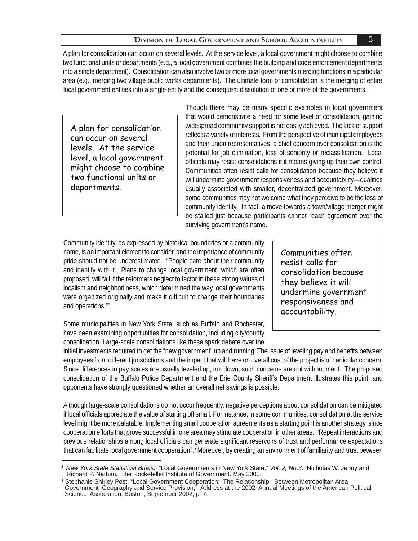local government entities into a single entity and the consequent dissolution of one or more of the governments. A plan for consolidation can occur on several levels. At the service level, a local government might choose to combine two functional units or departments (e.g., a local government combines the building and code enforcement departments into a single department). Consolidation can also involve two or more local governments merging functions in a particular area (e.g., merging two village public works departments). The ultimate form of consolidation is the merging of entire

A plan for consolidation can occur on several levels. At the service level, a local government might choose to combine two functional units or departments.

Though there may be many specific examples in local government that would demonstrate a need for some level of consolidation, gaining widespread community support is not easily achieved. The lack of support reflects a variety of interests. From the perspective of municipal employees and their union representatives, a chief concern over consolidation is the potential for job elimination, loss of seniority or reclassification. Local officials may resist consolidations if it means giving up their own control. Communities often resist calls for consolidation because they believe it will undermine government responsiveness and accountability—qualities usually associated with smaller, decentralized government. Moreover, some communities may not welcome what they perceive to be the loss of community identity. In fact, a move towards a town/village merger might be stalled just because participants cannot reach agreement over the surviving government's name.

Community identity, as expressed by historical boundaries or a community name, is an important element to consider, and the importance of community pride should not be underestimated. "People care about their community and identify with it. Plans to change local government, which are often proposed, will fail if the reformers neglect to factor in these strong values of localism and neighborliness, which determined the way local governments were organized originally and make it difficult to change their boundaries and operations."2

Some municipalities in New York State, such as Buffalo and Rochester, have been examining opportunities for consolidation, including city/county consolidation. Large-scale consolidations like these spark debate over the

Communities often resist calls for consolidation because they believe it will undermine government responsiveness and accountability.

initial investments required to get the "new government" up and running. The issue of leveling pay and benefits between employees from different jurisdictions and the impact that will have on overall cost of the project is of particular concern. Since differences in pay scales are usually leveled up, not down, such concerns are not without merit. The proposed consolidation of the Buffalo Police Department and the Erie County Sheriff's Department illustrates this point, and opponents have strongly questioned whether an overall net savings is possible.

Although large-scale consolidations do not occur frequently, negative perceptions about consolidation can be mitigated if local officials appreciate the value of starting off small. For instance, in some communities, consolidation at the service level might be more palatable. Implementing small cooperation agreements as a starting point is another strategy, since cooperation efforts that prove successful in one area may stimulate cooperation in other areas. "Repeat interactions and previous relationships among local officials can generate significant reservoirs of trust and performance expectations that can facilitate local government cooperation".<sup>3</sup> Moreover, by creating an environment of familiarity and trust between

<sup>2</sup>*New York State Statistical Briefs,* "Local Governments in New York State," *Vol. 2, No.3*. Nicholas W. Jenny and Richard P. Nathan. The Rockefeller Institute of Government. May 2003.

<sup>&</sup>lt;sup>3</sup> Stephanie Shirley Post, "Local Government Cooperation: The Relationship Between Metropolitan Area Government Geography and Service Provision," Address at the 2002 Annual Meetings of the American Political Science Association, Boston, September 2002, p. 7.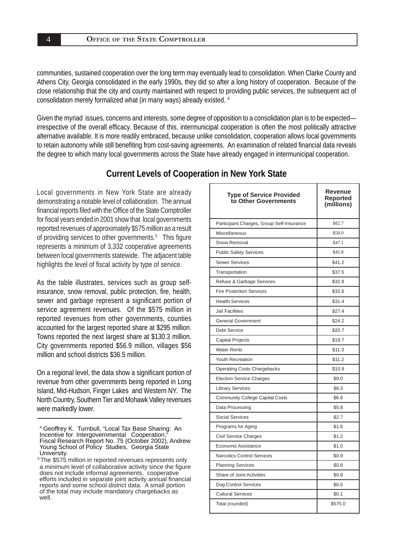communities, sustained cooperation over the long term may eventually lead to consolidation. When Clarke County and Athens City, Georgia consolidated in the early 1990s, they did so after a long history of cooperation. Because of the close relationship that the city and county maintained with respect to providing public services, the subsequent act of consolidation merely formalized what (in many ways) already existed. 4

Given the myriad issues, concerns and interests, some degree of opposition to a consolidation plan is to be expected irrespective of the overall efficacy. Because of this, intermunicipal cooperation is often the most politically attractive alternative available. It is more readily embraced, because unlike consolidation, cooperation allows local governments to retain autonomy while still benefiting from cost-saving agreements. An examination of related financial data reveals the degree to which many local governments across the State have already engaged in intermunicipal cooperation.

#### **Current Levels of Cooperation in New York State**

Local governments in New York State are already demonstrating a notable level of collaboration. The annual financial reports filed with the Office of the State Comptroller for fiscal years ended in 2001 show that local governments reported revenues of approximately \$575 million as a result of providing services to other governments.<sup>5</sup> This figure represents a minimum of 3,332 cooperative agreements between local governments statewide. The adjacent table highlights the level of fiscal activity by type of service.

As the table illustrates, services such as group selfinsurance, snow removal, public protection, fire, health, sewer and garbage represent a significant portion of service agreement revenues. Of the \$575 million in reported revenues from other governments, counties accounted for the largest reported share at \$295 million. Towns reported the next largest share at \$130.3 million. City governments reported \$56.9 million, villages \$56 million and school districts \$36.5 million.

On a regional level, the data show a significant portion of revenue from other governments being reported in Long Island, Mid-Hudson, Finger Lakes and Western NY. The North Country, Southern Tier and Mohawk Valley revenues were markedly lower.

<sup>&</sup>lt;sup>5</sup> The \$575 million in reported revenues represents only a *minimum* level of collaborative activity since the figure does not include informal agreements, cooperative efforts included in separate joint activity annual financial reports and some school district data. A small portion of the total may include mandatory chargebacks as well.

| <b>Type of Service Provided</b><br>to Other Governments | Revenue<br>Reported<br>(millions) |
|---------------------------------------------------------|-----------------------------------|
| Participant Charges, Group Self-Insurance               | \$82.7                            |
| Miscellaneous                                           | \$58.0                            |
| Snow Removal                                            | \$47.1                            |
| <b>Public Safety Services</b>                           | \$45.8                            |
| <b>Sewer Services</b>                                   | \$41.2                            |
| Transportation                                          | \$37.5                            |
| Refuse & Garbage Services                               | \$32.8                            |
| <b>Fire Protection Services</b>                         | \$32.6                            |
| <b>Health Services</b>                                  | \$31.4                            |
| <b>Jail Facilities</b>                                  | \$27.4                            |
| <b>General Government</b>                               | \$24.2                            |
| <b>Debt Service</b>                                     | \$20.7                            |
| Capital Projects                                        | \$19.7                            |
| <b>Water Rents</b>                                      | \$11.3                            |
| <b>Youth Recreation</b>                                 | \$11.2                            |
| <b>Operating Costs Chargebacks</b>                      | \$10.9                            |
| <b>Election Service Charges</b>                         | \$9.0                             |
| <b>Library Services</b>                                 | \$8.3                             |
| <b>Community College Capital Costs</b>                  | \$6.8                             |
| Data Processing                                         | \$5.8                             |
| <b>Social Services</b>                                  | \$2.7                             |
| Programs for Aging                                      | \$1.6                             |
| Civil Service Charges                                   | \$1.2                             |
| Economic Assistance                                     | \$1.0                             |
| <b>Narcotics Control Services</b>                       | \$0.9                             |
| <b>Planning Services</b>                                | \$0.8                             |
| Share of Joint Activities                               | \$0.8                             |
| Dog Control Services                                    | \$0.5                             |
| <b>Cultural Services</b>                                | \$0.1                             |
| Total (rounded)                                         | \$575.0                           |

<sup>4</sup> Geoffrey K. Turnbull, "Local Tax Base Sharing: An Incentive for Intergovernmental Cooperation, Fiscal Research Report No. 75 (October 2002), Andrew Young School of Policy Studies, Georgia State University.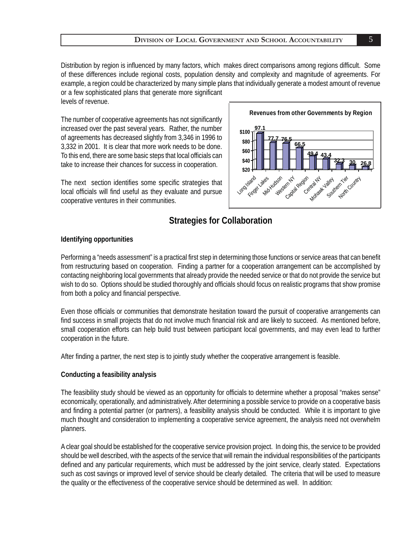Distribution by region is influenced by many factors, which makes direct comparisons among regions difficult. Some of these differences include regional costs, population density and complexity and magnitude of agreements. For example, a region could be characterized by many simple plans that individually generate a modest amount of revenue or a few sophisticated plans that generate more significant levels of revenue.

The number of cooperative agreements has not significantly increased over the past several years. Rather, the number of agreements has decreased slightly from 3,346 in 1996 to 3,332 in 2001. It is clear that more work needs to be done. To this end, there are some basic steps that local officials can take to increase their chances for success in cooperation.

The next section identifies some specific strategies that local officials will find useful as they evaluate and pursue cooperative ventures in their communities.



# **Strategies for Collaboration**

#### **Identifying opportunities**

Performing a "needs assessment" is a practical first step in determining those functions or service areas that can benefit from restructuring based on cooperation. Finding a partner for a cooperation arrangement can be accomplished by contacting neighboring local governments that already provide the needed service or that do not provide the service but wish to do so. Options should be studied thoroughly and officials should focus on realistic programs that show promise from both a policy and financial perspective.

Even those officials or communities that demonstrate hesitation toward the pursuit of cooperative arrangements can find success in small projects that do not involve much financial risk and are likely to succeed. As mentioned before, small cooperation efforts can help build trust between participant local governments, and may even lead to further cooperation in the future.

After finding a partner, the next step is to jointly study whether the cooperative arrangement is feasible.

#### **Conducting a feasibility analysis**

The feasibility study should be viewed as an opportunity for officials to determine whether a proposal "makes sense" economically, operationally, and administratively. After determining a possible service to provide on a cooperative basis and finding a potential partner (or partners), a feasibility analysis should be conducted. While it is important to give much thought and consideration to implementing a cooperative service agreement, the analysis need not overwhelm planners.

A clear goal should be established for the cooperative service provision project. In doing this, the service to be provided should be well described, with the aspects of the service that will remain the individual responsibilities of the participants defined and any particular requirements, which must be addressed by the joint service, clearly stated. Expectations such as cost savings or improved level of service should be clearly detailed. The criteria that will be used to measure the quality or the effectiveness of the cooperative service should be determined as well. In addition: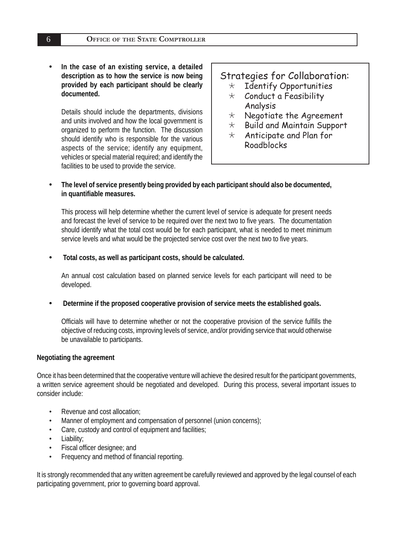**• In the case of an existing service, a detailed description as to how the service is now being provided by each participant should be clearly documented.** 

Details should include the departments, divisions and units involved and how the local government is organized to perform the function. The discussion should identify who is responsible for the various aspects of the service; identify any equipment, vehicles or special material required; and identify the facilities to be used to provide the service.

# Strategies for Collaboration:

- $\star$  Identify Opportunities  $\star$  Conduct a Feasibility
- Analysis
- $\star$  Negotiate the Agreement
- $\star$  Build and Maintain Support
- $\star$  Anticipate and Plan for Roadblocks
- **The level of service presently being provided by each participant should also be documented, in quantifi able measures.**

This process will help determine whether the current level of service is adequate for present needs and forecast the level of service to be required over the next two to five years. The documentation should identify what the total cost would be for each participant, what is needed to meet minimum service levels and what would be the projected service cost over the next two to five years.

**• Total costs, as well as participant costs, should be calculated.**

An annual cost calculation based on planned service levels for each participant will need to be developed.

**• Determine if the proposed cooperative provision of service meets the established goals.**

Officials will have to determine whether or not the cooperative provision of the service fulfills the objective of reducing costs, improving levels of service, and/or providing service that would otherwise be unavailable to participants.

#### **Negotiating the agreement**

Once it has been determined that the cooperative venture will achieve the desired result for the participant governments, a written service agreement should be negotiated and developed. During this process, several important issues to consider include:

- Revenue and cost allocation;
- Manner of employment and compensation of personnel (union concerns);
- Care, custody and control of equipment and facilities;
- Liability;
- Fiscal officer designee; and
- Frequency and method of financial reporting.

It is strongly recommended that any written agreement be carefully reviewed and approved by the legal counsel of each participating government, prior to governing board approval.

6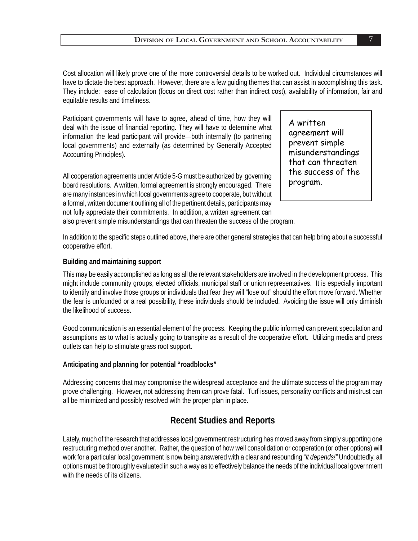Cost allocation will likely prove one of the more controversial details to be worked out. Individual circumstances will have to dictate the best approach. However, there are a few guiding themes that can assist in accomplishing this task. They include: ease of calculation (focus on direct cost rather than indirect cost), availability of information, fair and equitable results and timeliness.

Participant governments will have to agree, ahead of time, how they will deal with the issue of financial reporting. They will have to determine what information the lead participant will provide—both internally (to partnering local governments) and externally (as determined by Generally Accepted Accounting Principles).

All cooperation agreements under Article 5-G must be authorized by governing board resolutions. A written, formal agreement is strongly encouraged. There are many instances in which local governments agree to cooperate, but without a formal, written document outlining all of the pertinent details, participants may not fully appreciate their commitments. In addition, a written agreement can

A written agreement will prevent simple misunderstandings that can threaten the success of the program.

also prevent simple misunderstandings that can threaten the success of the program.

In addition to the specific steps outlined above, there are other general strategies that can help bring about a successful cooperative effort.

#### **Building and maintaining support**

This may be easily accomplished as long as all the relevant stakeholders are involved in the development process. This might include community groups, elected officials, municipal staff or union representatives. It is especially important to identify and involve those groups or individuals that fear they will "lose out" should the effort move forward. Whether the fear is unfounded or a real possibility, these individuals should be included. Avoiding the issue will only diminish the likelihood of success.

Good communication is an essential element of the process. Keeping the public informed can prevent speculation and assumptions as to what is actually going to transpire as a result of the cooperative effort. Utilizing media and press outlets can help to stimulate grass root support.

#### **Anticipating and planning for potential "roadblocks"**

Addressing concerns that may compromise the widespread acceptance and the ultimate success of the program may prove challenging. However, not addressing them can prove fatal. Turf issues, personality conflicts and mistrust can all be minimized and possibly resolved with the proper plan in place.

#### **Recent Studies and Reports**

Lately, much of the research that addresses local government restructuring has moved away from simply supporting one restructuring method over another. Rather, the question of how well consolidation or cooperation (or other options) will work for a particular local government is now being answered with a clear and resounding "*it depends!"* Undoubtedly, all options must be thoroughly evaluated in such a way as to effectively balance the needs of the individual local government with the needs of its citizens.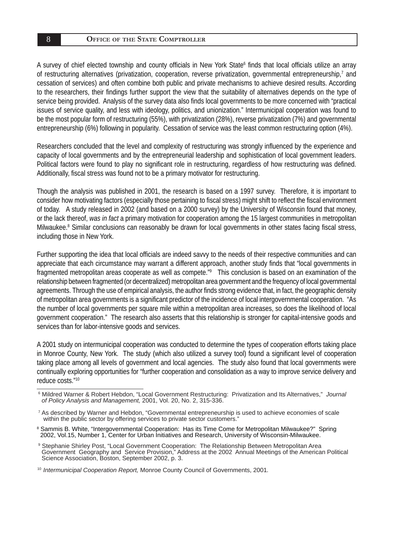A survey of chief elected township and county officials in New York State<sup>6</sup> finds that local officials utilize an array of restructuring alternatives (privatization, cooperation, reverse privatization, governmental entrepreneurship,<sup>7</sup> and cessation of services) and often combine both public and private mechanisms to achieve desired results. According to the researchers, their findings further support the view that the suitability of alternatives depends on the type of service being provided. Analysis of the survey data also finds local governments to be more concerned with "practical issues of service quality, and less with ideology, politics, and unionization." Intermunicipal cooperation was found to be the most popular form of restructuring (55%), with privatization (28%), reverse privatization (7%) and governmental entrepreneurship (6%) following in popularity. Cessation of service was the least common restructuring option (4%).

Researchers concluded that the level and complexity of restructuring was strongly influenced by the experience and capacity of local governments and by the entrepreneurial leadership and sophistication of local government leaders. Political factors were found to play no significant role in restructuring, regardless of how restructuring was defined. Additionally, fiscal stress was found not to be a primary motivator for restructuring.

Though the analysis was published in 2001, the research is based on a 1997 survey. Therefore, it is important to consider how motivating factors (especially those pertaining to fiscal stress) might shift to reflect the fiscal environment of today. A study released in 2002 (and based on a 2000 survey) by the University of Wisconsin found that money, or the lack thereof, *was in fact* a primary motivation for cooperation among the 15 largest communities in metropolitan Milwaukee.<sup>8</sup> Similar conclusions can reasonably be drawn for local governments in other states facing fiscal stress, including those in New York.

Further supporting the idea that local officials are indeed savvy to the needs of their respective communities and can appreciate that each circumstance may warrant a different approach, another study finds that "local governments in fragmented metropolitan areas cooperate as well as compete." This conclusion is based on an examination of the relationship between fragmented (or decentralized) metropolitan area government and the frequency of local governmental agreements. Through the use of empirical analysis, the author finds strong evidence that, in fact, the geographic density of metropolitan area governments is a significant predictor of the incidence of local intergovernmental cooperation. "As the number of local governments per square mile within a metropolitan area increases, so does the likelihood of local government cooperation." The research also asserts that this relationship is stronger for capital-intensive goods and services than for labor-intensive goods and services.

A 2001 study on intermunicipal cooperation was conducted to determine the types of cooperation efforts taking place in Monroe County, New York. The study (which also utilized a survey tool) found a significant level of cooperation taking place among all levels of government and local agencies. The study also found that local governments were continually exploring opportunities for "further cooperation and consolidation as a way to improve service delivery and reduce costs."10

<sup>6</sup> Mildred Warner & Robert Hebdon, "Local Government Restructuring: Privatization and Its Alternatives," *Journal of Policy Analysis and Management,* 2001, Vol. 20, No. 2, 315-336.

<sup>7</sup> As described by Warner and Hebdon, "Governmental entrepreneurship is used to achieve economies of scale within the public sector by offering services to private sector customers."

<sup>8</sup> Sammis B. White, "Intergovernmental Cooperation: Has its Time Come for Metropolitan Milwaukee?"Spring 2002, Vol.15, Number 1, Center for Urban Initiatives and Research, University of Wisconsin-Milwaukee.

<sup>9</sup> Stephanie Shirley Post, "Local Government Cooperation: The Relationship Between Metropolitan Area Government Geography and Service Provision," Address at the 2002 Annual Meetings of the American Political Science Association, Boston, September 2002, p. 3.

<sup>10</sup>*Intermunicipal Cooperation Report,* Monroe County Council of Governments, 2001*.*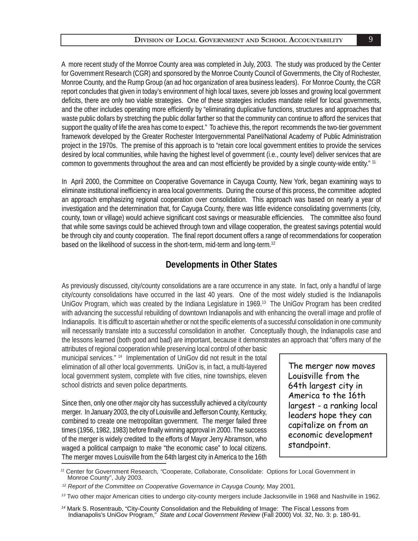deficits, there are only two viable strategies. One of these strategies includes mandate relief for local governments, and the other includes operating more efficiently by "eliminating duplicative functions, structures and approaches that waste public dollars by stretching the public dollar farther so that the community can continue to afford the services that support the quality of life the area has come to expect." To achieve this, the report recommends the two-tier government framework developed by the Greater Rochester Intergovernmental Panel/National Academy of Public Administration project in the 1970s. The premise of this approach is to "retain core local government entities to provide the services desired by local communities, while having the highest level of government (i.e., county level) deliver services that are common to governments throughout the area and can most efficiently be provided by a single county-wide entity." <sup>11</sup> A more recent study of the Monroe County area was completed in July, 2003. The study was produced by the Center for Government Research (CGR) and sponsored by the Monroe County Council of Governments, the City of Rochester, Monroe County, and the Rump Group (an ad hoc organization of area business leaders). For Monroe County, the CGR report concludes that given in today's environment of high local taxes, severe job losses and growing local government

In April 2000, the Committee on Cooperative Governance in Cayuga County, New York, began examining ways to eliminate institutional inefficiency in area local governments. During the course of this process, the committee adopted an approach emphasizing regional cooperation over consolidation. This approach was based on nearly a year of investigation and the determination that, for Cayuga County, there was little evidence consolidating governments (city, county, town or village) would achieve significant cost savings or measurable efficiencies. The committee also found that while some savings could be achieved through town and village cooperation, the greatest savings potential would be through city and county cooperation. The final report document offers a range of recommendations for cooperation based on the likelihood of success in the short-term, mid-term and long-term.<sup>12</sup>

#### **Developments in Other States**

As previously discussed, city/county consolidations are a rare occurrence in any state. In fact, only a handful of large city/county consolidations have occurred in the last 40 years. One of the most widely studied is the Indianapolis UniGov Program, which was created by the Indiana Legislature in 1969.13 The UniGov Program has been credited with advancing the successful rebuilding of downtown Indianapolis and with enhancing the overall image and profile of Indianapolis. It is difficult to ascertain whether or not the specific elements of a successful consolidation in one community will necessarily translate into a successful consolidation in another. Conceptually though, the Indianapolis case and the lessons learned (both good and bad) are important, because it demonstrates an approach that "offers many of the

attributes of regional cooperation while preserving local control of other basic municipal services." 14 Implementation of UniGov did not result in the total elimination of all other local governments. UniGov is, in fact, a multi-layered local government system, complete with five cities, nine townships, eleven school districts and seven police departments.

Since then, only one other *major* city has successfully achieved a city/county merger. In January 2003, the city of Louisville and Jefferson County, Kentucky, combined to create one metropolitan government. The merger failed three times (1956, 1982, 1983) before finally winning approval in 2000. The success of the merger is widely credited to the efforts of Mayor Jerry Abramson, who waged a political campaign to make "the economic case" to local citizens. The merger moves Louisville from the 64th largest city in America to the 16th

The merger now moves Louisville from the 64th largest city in America to the 16th largest - a ranking local leaders hope they can capitalize on from an economic development standpoint.

*<sup>11</sup>* Center for Government Research*, "*Cooperate, Collaborate, Consolidate: Options for Local Government in Monroe County", July 2003.

*<sup>12</sup> Report of the Committee on Cooperative Governance in Cayuga County,* May 2001*.*

*<sup>13</sup>* Two other major American cities to undergo city-county mergers include Jacksonville in 1968 and Nashville in 1962.

*<sup>14</sup>* Mark S. Rosentraub, "City-County Consolidation and the Rebuilding of Image: The Fiscal Lessons from Indianapolis's UniGov Program," *State and Local Government Review* (Fall 2000) Vol. 32, No. 3: p. 180-91.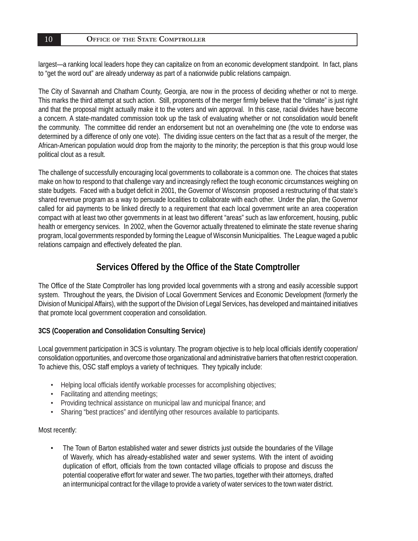#### **OFFICE OF THE STATE COMPTROLLER**

largest—a ranking local leaders hope they can capitalize on from an economic development standpoint. In fact, plans to "get the word out" are already underway as part of a nationwide public relations campaign.

The City of Savannah and Chatham County, Georgia, are now in the process of deciding whether or not to merge. This marks the third attempt at such action. Still, proponents of the merger firmly believe that the "climate" is just right and that the proposal might actually make it to the voters and win approval. In this case, racial divides have become a concern. A state-mandated commission took up the task of evaluating whether or not consolidation would benefit the community. The committee did render an endorsement but not an overwhelming one (the vote to endorse was determined by a difference of only one vote). The dividing issue centers on the fact that as a result of the merger, the African-American population would drop from the majority to the minority; the perception is that this group would lose political clout as a result.

The challenge of successfully encouraging local governments to collaborate is a common one. The choices that states make on how to respond to that challenge vary and increasingly reflect the tough economic circumstances weighing on state budgets. Faced with a budget deficit in 2001, the Governor of Wisconsin proposed a restructuring of that state's shared revenue program as a way to persuade localities to collaborate with each other. Under the plan, the Governor called for aid payments to be linked directly to a requirement that each local government write an area cooperation compact with at least two other governments in at least two different "areas" such as law enforcement, housing, public health or emergency services. In 2002, when the Governor actually threatened to eliminate the state revenue sharing program, local governments responded by forming the League of Wisconsin Municipalities. The League waged a public relations campaign and effectively defeated the plan.

# Services Offered by the Office of the State Comptroller

The Office of the State Comptroller has long provided local governments with a strong and easily accessible support system. Throughout the years, the Division of Local Government Services and Economic Development (formerly the Division of Municipal Affairs), with the support of the Division of Legal Services, has developed and maintained initiatives that promote local government cooperation and consolidation.

#### **3CS (Cooperation and Consolidation Consulting Service)**

Local government participation in 3CS is voluntary. The program objective is to help local officials identify cooperation/ consolidation opportunities, and overcome those organizational and administrative barriers that often restrict cooperation. To achieve this, OSC staff employs a variety of techniques. They typically include:

- Helping local officials identify workable processes for accomplishing objectives;
- Facilitating and attending meetings;
- Providing technical assistance on municipal law and municipal finance; and
- Sharing "best practices" and identifying other resources available to participants.

#### Most recently:

• The Town of Barton established water and sewer districts just outside the boundaries of the Village of Waverly, which has already-established water and sewer systems. With the intent of avoiding duplication of effort, officials from the town contacted village officials to propose and discuss the potential cooperative effort for water and sewer. The two parties, together with their attorneys, drafted an intermunicipal contract for the village to provide a variety of water services to the town water district.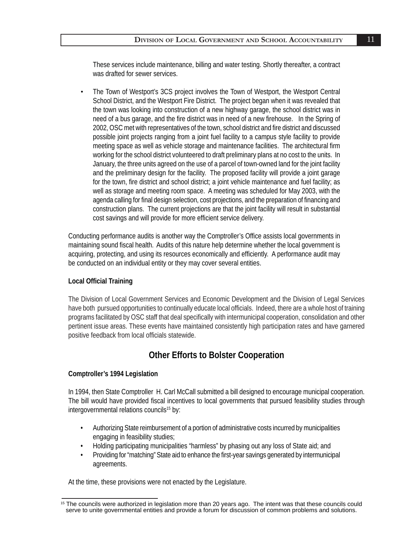These services include maintenance, billing and water testing. Shortly thereafter, a contract was drafted for sewer services.

• The Town of Westport's 3CS project involves the Town of Westport, the Westport Central School District, and the Westport Fire District. The project began when it was revealed that the town was looking into construction of a new highway garage, the school district was in need of a bus garage, and the fire district was in need of a new firehouse. In the Spring of 2002, OSC met with representatives of the town, school district and fire district and discussed possible joint projects ranging from a joint fuel facility to a campus style facility to provide meeting space as well as vehicle storage and maintenance facilities. The architectural firm working for the school district volunteered to draft preliminary plans at no cost to the units. In January, the three units agreed on the use of a parcel of town-owned land for the joint facility and the preliminary design for the facility. The proposed facility will provide a joint garage for the town, fire district and school district; a joint vehicle maintenance and fuel facility; as well as storage and meeting room space. A meeting was scheduled for May 2003, with the agenda calling for final design selection, cost projections, and the preparation of financing and construction plans. The current projections are that the joint facility will result in substantial cost savings and will provide for more efficient service delivery.

Conducting performance audits is another way the Comptroller's Office assists local governments in maintaining sound fiscal health. Audits of this nature help determine whether the local government is acquiring, protecting, and using its resources economically and efficiently. A performance audit may be conducted on an individual entity or they may cover several entities.

#### **Local Offi cial Training**

The Division of Local Government Services and Economic Development and the Division of Legal Services have both pursued opportunities to continually educate local officials. Indeed, there are a whole host of training programs facilitated by OSC staff that deal specifically with intermunicipal cooperation, consolidation and other pertinent issue areas. These events have maintained consistently high participation rates and have garnered positive feedback from local officials statewide.

# **Other Efforts to Bolster Cooperation**

#### **Comptroller's 1994 Legislation**

In 1994, then State Comptroller H. Carl McCall submitted a bill designed to encourage municipal cooperation. The bill would have provided fiscal incentives to local governments that pursued feasibility studies through intergovernmental relations councils<sup>15</sup> by:

- Authorizing State reimbursement of a portion of administrative costs incurred by municipalities engaging in feasibility studies;
- Holding participating municipalities "harmless" by phasing out any loss of State aid; and
- Providing for "matching" State aid to enhance the first-year savings generated by intermunicipal agreements.

At the time, these provisions were not enacted by the Legislature.

<sup>&</sup>lt;sup>15</sup> The councils were authorized in legislation more than 20 years ago. The intent was that these councils could serve to unite governmental entities and provide a forum for discussion of common problems and solutions.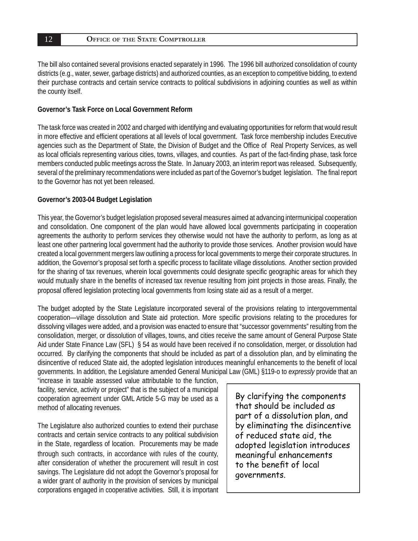#### **OFFICE OF THE STATE COMPTROLLER**

The bill also contained several provisions enacted separately in 1996. The 1996 bill authorized consolidation of county districts (e.g., water, sewer, garbage districts) and authorized counties, as an exception to competitive bidding, to extend their purchase contracts and certain service contracts to political subdivisions in adjoining counties as well as within the county itself.

#### **Governor's Task Force on Local Government Reform**

The task force was created in 2002 and charged with identifying and evaluating opportunities for reform that would result in more effective and efficient operations at all levels of local government. Task force membership includes Executive agencies such as the Department of State, the Division of Budget and the Office of Real Property Services, as well as local officials representing various cities, towns, villages, and counties. As part of the fact-finding phase, task force members conducted public meetings across the State. In January 2003, an interim report was released. Subsequently, several of the preliminary recommendations were included as part of the Governor's budget legislation. The final report to the Governor has not yet been released.

#### **Governor's 2003-04 Budget Legislation**

This year, the Governor's budget legislation proposed several measures aimed at advancing intermunicipal cooperation and consolidation. One component of the plan would have allowed local governments participating in cooperation agreements the authority to perform services they otherwise would not have the authority to perform, as long as at least one other partnering local government had the authority to provide those services. Another provision would have created a local government mergers law outlining a process for local governments to merge their corporate structures. In addition, the Governor's proposal set forth a specific process to facilitate village dissolutions. Another section provided for the sharing of tax revenues, wherein local governments could designate specific geographic areas for which they would mutually share in the benefits of increased tax revenue resulting from joint projects in those areas. Finally, the proposal offered legislation protecting local governments from losing state aid as a result of a merger.

The budget adopted by the State Legislature incorporated several of the provisions relating to intergovernmental cooperation-village dissolution and State aid protection. More specific provisions relating to the procedures for dissolving villages were added, and a provision was enacted to ensure that "successor governments" resulting from the consolidation, merger, or dissolution of villages, towns, and cities receive the same amount of General Purpose State Aid under State Finance Law (SFL) § 54 as would have been received if no consolidation, merger, or dissolution had occurred. By clarifying the components that should be included as part of a dissolution plan, and by eliminating the disincentive of reduced State aid, the adopted legislation introduces meaningful enhancements to the benefit of local governments. In addition, the Legislature amended General Municipal Law (GML) §119-o to *expressly* provide that an

"increase in taxable assessed value attributable to the function, facility, service, activity or project" that is the subject of a municipal cooperation agreement under GML Article 5-G may be used as a method of allocating revenues.

The Legislature also authorized counties to extend their purchase contracts and certain service contracts to any political subdivision in the State, regardless of location. Procurements may be made through such contracts, in accordance with rules of the county, after consideration of whether the procurement will result in cost savings. The Legislature did not adopt the Governor's proposal for a wider grant of authority in the provision of services by municipal corporations engaged in cooperative activities. Still, it is important

By clarifying the components that should be included as part of a dissolution plan, and by eliminating the disincentive of reduced state aid, the adopted legislation introduces meaningful enhancements to the benefit of local governments.

12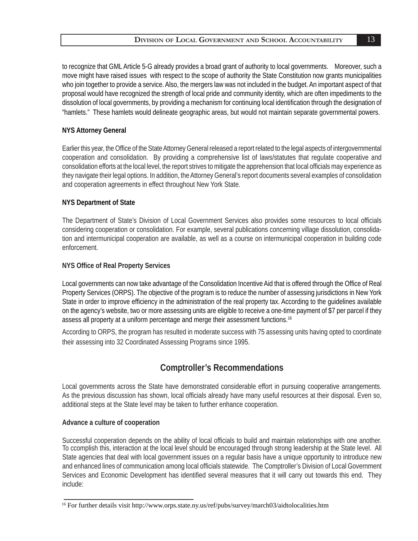to recognize that GML Article 5-G already provides a broad grant of authority to local governments. Moreover, such a move might have raised issues with respect to the scope of authority the State Constitution now grants municipalities who join together to provide a service. Also, the mergers law was not included in the budget. An important aspect of that proposal would have recognized the strength of local pride and community identity, which are often impediments to the dissolution of local governments, by providing a mechanism for continuing local identification through the designation of "hamlets." These hamlets would delineate geographic areas, but would not maintain separate governmental powers.

#### **NYS Attorney General**

Earlier this year, the Office of the State Attorney General released a report related to the legal aspects of intergovernmental cooperation and consolidation. By providing a comprehensive list of laws/statutes that regulate cooperative and consolidation efforts at the local level, the report strives to mitigate the apprehension that local officials may experience as they navigate their legal options. In addition, the Attorney General's report documents several examples of consolidation and cooperation agreements in effect throughout New York State.

#### **NYS Department of State**

The Department of State's Division of Local Government Services also provides some resources to local officials considering cooperation or consolidation. For example, several publications concerning village dissolution, consolidation and intermunicipal cooperation are available, as well as a course on intermunicipal cooperation in building code enforcement.

#### **NYS Offi ce of Real Property Services**

Local governments can now take advantage of the Consolidation Incentive Aid that is offered through the Office of Real Property Services (ORPS). The objective of the program is to reduce the number of assessing jurisdictions in New York State in order to improve efficiency in the administration of the real property tax. According to the quidelines available on the agency's website, two or more assessing units are eligible to receive a one-time payment of \$7 per parcel if they assess all property at a uniform percentage and merge their assessment functions.16

According to ORPS, the program has resulted in moderate success with 75 assessing units having opted to coordinate their assessing into 32 Coordinated Assessing Programs since 1995.

# **Comptroller's Recommendations**

Local governments across the State have demonstrated considerable effort in pursuing cooperative arrangements. As the previous discussion has shown, local officials already have many useful resources at their disposal. Even so, additional steps at the State level may be taken to further enhance cooperation.

#### **Advance a culture of cooperation**

Successful cooperation depends on the ability of local officials to build and maintain relationships with one another. To ccomplish this, interaction at the local level should be encouraged through strong leadership at the State level. All State agencies that deal with local government issues on a regular basis have a unique opportunity to introduce new and enhanced lines of communication among local officials statewide. The Comptroller's Division of Local Government Services and Economic Development has identified several measures that it will carry out towards this end. They include:

<sup>&</sup>lt;sup>16</sup> For further details visit http://www.orps.state.ny.us/ref/pubs/survey/march03/aidtolocalities.htm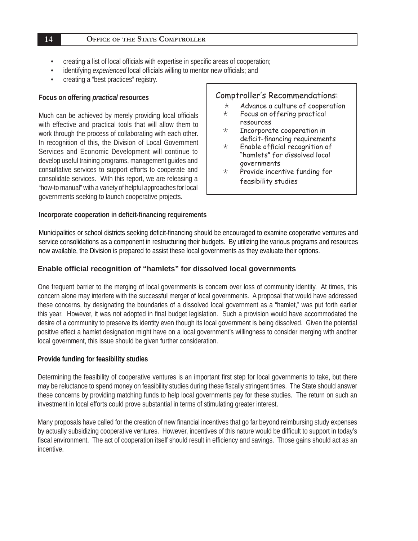#### **OFFICE OF THE STATE COMPTROLLER**

- creating a list of local officials with expertise in specific areas of cooperation;
- identifying *experienced* local officials willing to mentor new officials; and
- creating a "best practices" registry.

#### **Focus on offering** *practical* **resources**

Much can be achieved by merely providing local officials with effective and practical tools that will allow them to work through the process of collaborating with each other. In recognition of this, the Division of Local Government Services and Economic Development will continue to develop useful training programs, management guides and consultative services to support efforts to cooperate and consolidate services. With this report, we are releasing a "how-to manual" with a variety of helpful approaches for local governments seeking to launch cooperative projects.

#### **Incorporate cooperation in defi cit-fi nancing requirements**

#### Comptroller's Recommendations:

- $\star$  Advance a culture of cooperation
- $\star$  Focus on offering practical resources
- $\star$  Incorporate cooperation in deficit-financing requirements<br>  $\star$  Frable official recognition of
- Enable official recognition of "hamlets" for dissolved local governments
- $\star$  Provide incentive funding for feasibility studies

Municipalities or school districts seeking deficit-financing should be encouraged to examine cooperative ventures and service consolidations as a component in restructuring their budgets. By utilizing the various programs and resources now available, the Division is prepared to assist these local governments as they evaluate their options.

#### **Enable offi cial recognition of "hamlets" for dissolved local governments**

One frequent barrier to the merging of local governments is concern over loss of community identity. At times, this concern alone may interfere with the successful merger of local governments. A proposal that would have addressed these concerns, by designating the boundaries of a dissolved local government as a "hamlet," was put forth earlier this year. However, it was not adopted in final budget legislation. Such a provision would have accommodated the desire of a community to preserve its identity even though its local government is being dissolved. Given the potential positive effect a hamlet designation might have on a local government's willingness to consider merging with another local government, this issue should be given further consideration.

#### **Provide funding for feasibility studies**

Determining the feasibility of cooperative ventures is an important first step for local governments to take, but there may be reluctance to spend money on feasibility studies during these fiscally stringent times. The State should answer these concerns by providing matching funds to help local governments pay for these studies. The return on such an investment in local efforts could prove substantial in terms of stimulating greater interest.

Many proposals have called for the creation of new financial incentives that go far beyond reimbursing study expenses by actually subsidizing cooperative ventures. However, incentives of this nature would be difficult to support in today's fiscal environment. The act of cooperation itself should result in efficiency and savings. Those gains should act as an incentive.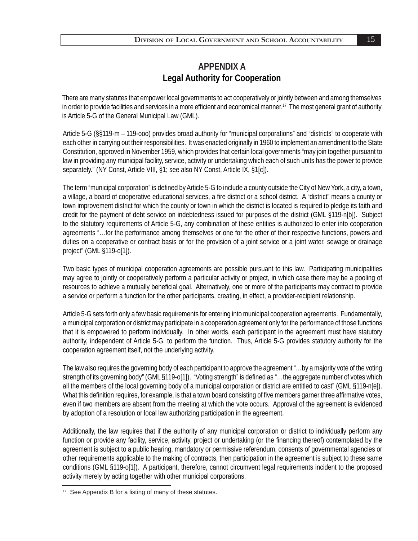# **APPENDIX A Legal Authority for Cooperation**

There are many statutes that empower local governments to act cooperatively or jointly between and among themselves in order to provide facilities and services in a more efficient and economical manner.<sup>17</sup> The most general grant of authority is Article 5-G of the General Municipal Law (GML).

Article 5-G (§§119-m – 119-ooo) provides broad authority for "municipal corporations" and "districts" to cooperate with each other in carrying out their responsibilities. It was enacted originally in 1960 to implement an amendment to the State Constitution, approved in November 1959, which provides that certain local governments "may join together pursuant to law in providing any municipal facility, service, activity or undertaking which each of such units has the power to provide separately." (NY Const, Article VIII, §1; see also NY Const, Article IX, §1[c]).

The term "municipal corporation" is defined by Article 5-G to include a county outside the City of New York, a city, a town, a village, a board of cooperative educational services, a fire district or a school district. A "district" means a county or town improvement district for which the county or town in which the district is located is required to pledge its faith and credit for the payment of debt service on indebtedness issued for purposes of the district (GML §119-n[b]). Subject to the statutory requirements of Article 5-G, any combination of these entities is authorized to enter into cooperation agreements "…for the performance among themselves or one for the other of their respective functions, powers and duties on a cooperative or contract basis or for the provision of a joint service or a joint water, sewage or drainage project" (GML §119-o[1]).

Two basic types of municipal cooperation agreements are possible pursuant to this law. Participating municipalities may agree to jointly or cooperatively perform a particular activity or project, in which case there may be a pooling of resources to achieve a mutually beneficial goal. Alternatively, one or more of the participants may contract to provide a service or perform a function for the other participants, creating, in effect, a provider-recipient relationship.

Article 5-G sets forth only a few basic requirements for entering into municipal cooperation agreements. Fundamentally, a municipal corporation or district may participate in a cooperation agreement only for the performance of those functions that it is empowered to perform individually. In other words, each participant in the agreement must have statutory authority, independent of Article 5-G, to perform the function. Thus, Article 5-G provides statutory authority for the cooperation agreement itself, not the underlying activity.

The law also requires the governing body of each participant to approve the agreement "…by a majority vote of the voting strength of its governing body" (GML §119-o[1]). "Voting strength" is defined as "...the aggregate number of votes which all the members of the local governing body of a municipal corporation or district are entitled to cast" (GML §119-n[e]). What this definition requires, for example, is that a town board consisting of five members garner three affirmative votes, even if two members are absent from the meeting at which the vote occurs. Approval of the agreement is evidenced by adoption of a resolution or local law authorizing participation in the agreement.

Additionally, the law requires that if the authority of any municipal corporation or district to individually perform any function or provide any facility, service, activity, project or undertaking (or the financing thereof) contemplated by the agreement is subject to a public hearing, mandatory or permissive referendum, consents of governmental agencies or other requirements applicable to the making of contracts, then participation in the agreement is subject to these same conditions (GML §119-o[1]). A participant, therefore, cannot circumvent legal requirements incident to the proposed activity merely by acting together with other municipal corporations.

<sup>17.</sup> See Appendix B for a listing of many of these statutes.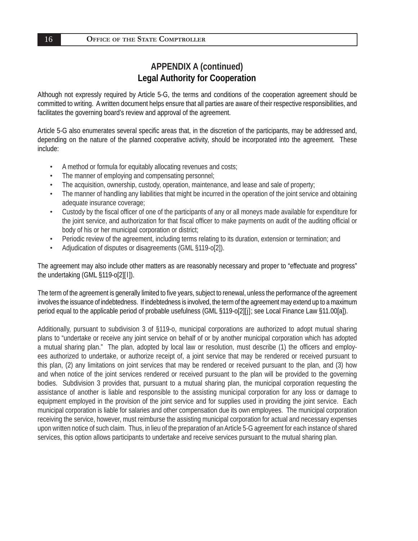# **APPENDIX A (continued) Legal Authority for Cooperation**

Although not expressly required by Article 5-G, the terms and conditions of the cooperation agreement should be committed to writing. A written document helps ensure that all parties are aware of their respective responsibilities, and facilitates the governing board's review and approval of the agreement.

Article 5-G also enumerates several specific areas that, in the discretion of the participants, may be addressed and, depending on the nature of the planned cooperative activity, should be incorporated into the agreement. These include:

- A method or formula for equitably allocating revenues and costs;
- The manner of employing and compensating personnel;
- The acquisition, ownership, custody, operation, maintenance, and lease and sale of property;
- The manner of handling any liabilities that might be incurred in the operation of the joint service and obtaining adequate insurance coverage;
- Custody by the fiscal officer of one of the participants of any or all moneys made available for expenditure for the joint service, and authorization for that fiscal officer to make payments on audit of the auditing official or body of his or her municipal corporation or district;
- Periodic review of the agreement, including terms relating to its duration, extension or termination; and
- Adjudication of disputes or disagreements (GML §119-o[2]).

The agreement may also include other matters as are reasonably necessary and proper to "effectuate and progress" the undertaking (GML §119-o[2][l]).

The term of the agreement is generally limited to five years, subject to renewal, unless the performance of the agreement involves the issuance of indebtedness. If indebtedness is involved, the term of the agreement may extend up to a maximum period equal to the applicable period of probable usefulness (GML §119-o[2][j]; see Local Finance Law §11.00[a]).

Additionally, pursuant to subdivision 3 of §119-o, municipal corporations are authorized to adopt mutual sharing plans to "undertake or receive any joint service on behalf of or by another municipal corporation which has adopted a mutual sharing plan." The plan, adopted by local law or resolution, must describe (1) the officers and employees authorized to undertake, or authorize receipt of, a joint service that may be rendered or received pursuant to this plan, (2) any limitations on joint services that may be rendered or received pursuant to the plan, and (3) how and when notice of the joint services rendered or received pursuant to the plan will be provided to the governing bodies. Subdivision 3 provides that, pursuant to a mutual sharing plan, the municipal corporation requesting the assistance of another is liable and responsible to the assisting municipal corporation for any loss or damage to equipment employed in the provision of the joint service and for supplies used in providing the joint service. Each municipal corporation is liable for salaries and other compensation due its own employees. The municipal corporation receiving the service, however, must reimburse the assisting municipal corporation for actual and necessary expenses upon written notice of such claim. Thus, in lieu of the preparation of an Article 5-G agreement for each instance of shared services, this option allows participants to undertake and receive services pursuant to the mutual sharing plan.

16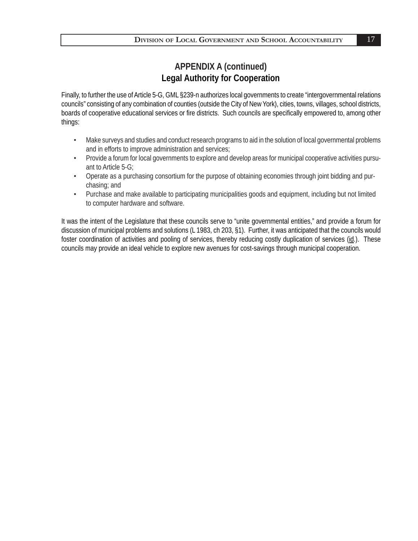# **APPENDIX A (continued) Legal Authority for Cooperation**

Finally, to further the use of Article 5-G, GML §239-n authorizes local governments to create "intergovernmental relations councils" consisting of any combination of counties (outside the City of New York), cities, towns, villages, school districts, boards of cooperative educational services or fire districts. Such councils are specifically empowered to, among other things:

- Make surveys and studies and conduct research programs to aid in the solution of local governmental problems and in efforts to improve administration and services;
- Provide a forum for local governments to explore and develop areas for municipal cooperative activities pursuant to Article 5-G;
- Operate as a purchasing consortium for the purpose of obtaining economies through joint bidding and purchasing; and
- Purchase and make available to participating municipalities goods and equipment, including but not limited to computer hardware and software.

It was the intent of the Legislature that these councils serve to "unite governmental entities," and provide a forum for discussion of municipal problems and solutions (L 1983, ch 203, §1). Further, it was anticipated that the councils would foster coordination of activities and pooling of services, thereby reducing costly duplication of services (id.). These councils may provide an ideal vehicle to explore new avenues for cost-savings through municipal cooperation.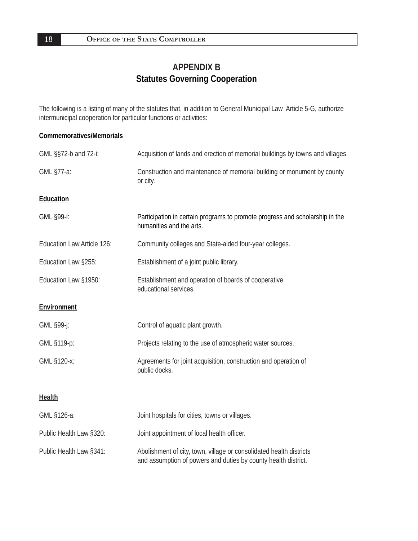# **APPENDIX B Statutes Governing Cooperation**

The following is a listing of many of the statutes that, in addition to General Municipal Law Article 5-G, authorize intermunicipal cooperation for particular functions or activities:

#### **Commemoratives/Memorials**

| GML §§72-b and 72-i:       | Acquisition of lands and erection of memorial buildings by towns and villages.                                                        |  |  |
|----------------------------|---------------------------------------------------------------------------------------------------------------------------------------|--|--|
| GML §77-a:                 | Construction and maintenance of memorial building or monument by county<br>or city.                                                   |  |  |
| Education                  |                                                                                                                                       |  |  |
| GML §99-i:                 | Participation in certain programs to promote progress and scholarship in the<br>humanities and the arts.                              |  |  |
| Education Law Article 126: | Community colleges and State-aided four-year colleges.                                                                                |  |  |
| Education Law §255:        | Establishment of a joint public library.                                                                                              |  |  |
| Education Law §1950:       | Establishment and operation of boards of cooperative<br>educational services.                                                         |  |  |
| Environment                |                                                                                                                                       |  |  |
| GML §99-j:                 | Control of aquatic plant growth.                                                                                                      |  |  |
| GML §119-p:                | Projects relating to the use of atmospheric water sources.                                                                            |  |  |
| GML §120-x:                | Agreements for joint acquisition, construction and operation of<br>public docks.                                                      |  |  |
| <b>Health</b>              |                                                                                                                                       |  |  |
| GML §126-a:                | Joint hospitals for cities, towns or villages.                                                                                        |  |  |
| Public Health Law §320:    | Joint appointment of local health officer.                                                                                            |  |  |
| Public Health Law §341:    | Abolishment of city, town, village or consolidated health districts<br>and assumption of powers and duties by county health district. |  |  |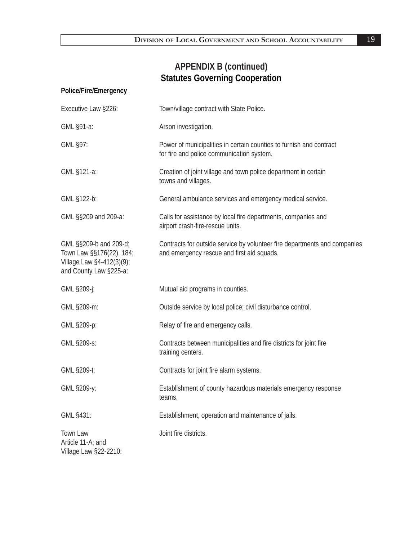#### **Police/Fire/Emergency**

| Executive Law §226:                                                                                       | Town/village contract with State Police.                                                                                |  |  |
|-----------------------------------------------------------------------------------------------------------|-------------------------------------------------------------------------------------------------------------------------|--|--|
| GML §91-a:                                                                                                | Arson investigation.                                                                                                    |  |  |
| GML §97:                                                                                                  | Power of municipalities in certain counties to furnish and contract<br>for fire and police communication system.        |  |  |
| GML §121-a:                                                                                               | Creation of joint village and town police department in certain<br>towns and villages.                                  |  |  |
| GML §122-b:                                                                                               | General ambulance services and emergency medical service.                                                               |  |  |
| GML §§209 and 209-a:                                                                                      | Calls for assistance by local fire departments, companies and<br>airport crash-fire-rescue units.                       |  |  |
| GML §§209-b and 209-d;<br>Town Law §§176(22), 184;<br>Village Law §4-412(3)(9);<br>and County Law §225-a: | Contracts for outside service by volunteer fire departments and companies<br>and emergency rescue and first aid squads. |  |  |
| GML §209-j:                                                                                               | Mutual aid programs in counties.                                                                                        |  |  |
| GML §209-m:                                                                                               | Outside service by local police; civil disturbance control.                                                             |  |  |
| GML §209-p:                                                                                               | Relay of fire and emergency calls.                                                                                      |  |  |
| GML §209-s:                                                                                               | Contracts between municipalities and fire districts for joint fire<br>training centers.                                 |  |  |
| GML §209-t:                                                                                               | Contracts for joint fire alarm systems.                                                                                 |  |  |
| GML §209-y:                                                                                               | Establishment of county hazardous materials emergency response<br>teams.                                                |  |  |
| GML §431:                                                                                                 | Establishment, operation and maintenance of jails.                                                                      |  |  |
| Town Law<br>Article 11-A; and<br>Village Law §22-2210:                                                    | Joint fire districts.                                                                                                   |  |  |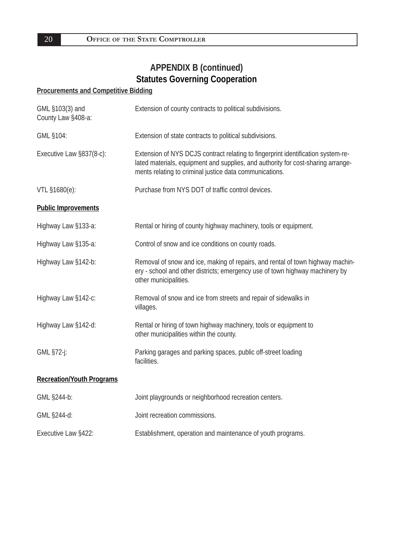## **Procurements and Competitive Bidding**

| GML §103(3) and<br>County Law §408-a: | Extension of county contracts to political subdivisions.                                                                                                                                                                        |  |
|---------------------------------------|---------------------------------------------------------------------------------------------------------------------------------------------------------------------------------------------------------------------------------|--|
| GML §104:                             | Extension of state contracts to political subdivisions.                                                                                                                                                                         |  |
| Executive Law §837(8-c):              | Extension of NYS DCJS contract relating to fingerprint identification system-re-<br>lated materials, equipment and supplies, and authority for cost-sharing arrange-<br>ments relating to criminal justice data communications. |  |
| VTL §1680(e):                         | Purchase from NYS DOT of traffic control devices.                                                                                                                                                                               |  |
| <b>Public Improvements</b>            |                                                                                                                                                                                                                                 |  |
| Highway Law §133-a:                   | Rental or hiring of county highway machinery, tools or equipment.                                                                                                                                                               |  |
| Highway Law §135-a:                   | Control of snow and ice conditions on county roads.                                                                                                                                                                             |  |
| Highway Law §142-b:                   | Removal of snow and ice, making of repairs, and rental of town highway machin-<br>ery - school and other districts; emergency use of town highway machinery by<br>other municipalities.                                         |  |
| Highway Law §142-c:                   | Removal of snow and ice from streets and repair of sidewalks in<br>villages.                                                                                                                                                    |  |
| Highway Law §142-d:                   | Rental or hiring of town highway machinery, tools or equipment to<br>other municipalities within the county.                                                                                                                    |  |
| GML §72-j:                            | Parking garages and parking spaces, public off-street loading<br>facilities.                                                                                                                                                    |  |
| <b>Recreation/Youth Programs</b>      |                                                                                                                                                                                                                                 |  |
| GML §244-b:                           | Joint playgrounds or neighborhood recreation centers.                                                                                                                                                                           |  |
| GML §244-d:                           | Joint recreation commissions.                                                                                                                                                                                                   |  |
| Executive Law §422:                   | Establishment, operation and maintenance of youth programs.                                                                                                                                                                     |  |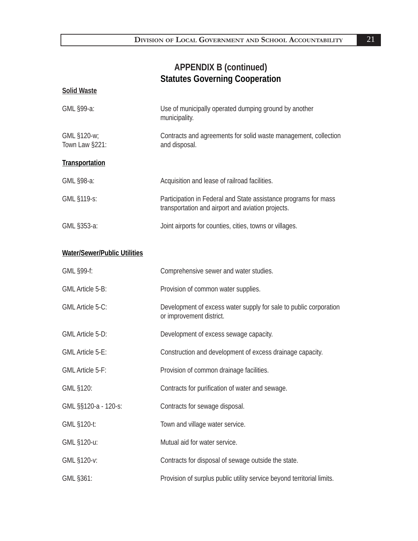| <b>Solid Waste</b>                  |                                                                                                                      |  |
|-------------------------------------|----------------------------------------------------------------------------------------------------------------------|--|
| GML §99-a:                          | Use of municipally operated dumping ground by another<br>municipality.                                               |  |
| GML §120-w;<br>Town Law §221:       | Contracts and agreements for solid waste management, collection<br>and disposal.                                     |  |
| <b>Transportation</b>               |                                                                                                                      |  |
| GML §98-a:                          | Acquisition and lease of railroad facilities.                                                                        |  |
| GML §119-s:                         | Participation in Federal and State assistance programs for mass<br>transportation and airport and aviation projects. |  |
| GML §353-a:                         | Joint airports for counties, cities, towns or villages.                                                              |  |
| <b>Water/Sewer/Public Utilities</b> |                                                                                                                      |  |
| GML §99-f:                          | Comprehensive sewer and water studies.                                                                               |  |
| <b>GML Article 5-B:</b>             | Provision of common water supplies.                                                                                  |  |
| <b>GML Article 5-C:</b>             | Development of excess water supply for sale to public corporation<br>or improvement district.                        |  |
| <b>GML Article 5-D:</b>             | Development of excess sewage capacity.                                                                               |  |
| <b>GML Article 5-E:</b>             | Construction and development of excess drainage capacity.                                                            |  |
| <b>GML Article 5-F:</b>             | Provision of common drainage facilities.                                                                             |  |
| GML §120:                           | Contracts for purification of water and sewage.                                                                      |  |
| GML §§120-a - 120-s:                | Contracts for sewage disposal.                                                                                       |  |
| GML §120-t:                         | Town and village water service.                                                                                      |  |
| GML §120-u:                         | Mutual aid for water service.                                                                                        |  |
| GML §120-v:                         | Contracts for disposal of sewage outside the state.                                                                  |  |
| GML §361:                           | Provision of surplus public utility service beyond territorial limits.                                               |  |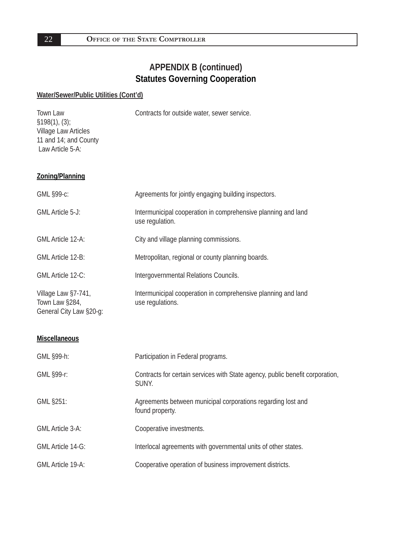#### **Water/Sewer/Public Utilities (Cont'd)**

Town Law Contracts for outside water, sewer service. §198(1), (3); Village Law Articles 11 and 14; and County Law Article 5-A:

**Zoning/Planning**

| GML §99-c:                                                       | Agreements for jointly engaging building inspectors.                              |
|------------------------------------------------------------------|-----------------------------------------------------------------------------------|
| GML Article 5-J:                                                 | Intermunicipal cooperation in comprehensive planning and land<br>use regulation.  |
| <b>GML Article 12-A:</b>                                         | City and village planning commissions.                                            |
| GML Article 12-B:                                                | Metropolitan, regional or county planning boards.                                 |
| GML Article 12-C:                                                | Intergovernmental Relations Councils.                                             |
| Village Law §7-741,<br>Town Law §284,<br>General City Law §20-g: | Intermunicipal cooperation in comprehensive planning and land<br>use regulations. |

#### **Miscellaneous**

| GML §99-h:               | Participation in Federal programs.                                                     |
|--------------------------|----------------------------------------------------------------------------------------|
| GML §99-r:               | Contracts for certain services with State agency, public benefit corporation,<br>SUNY. |
| GML §251:                | Agreements between municipal corporations regarding lost and<br>found property.        |
| <b>GML Article 3-A:</b>  | Cooperative investments.                                                               |
| <b>GML Article 14-G:</b> | Interlocal agreements with governmental units of other states.                         |
| <b>GML Article 19-A:</b> | Cooperative operation of business improvement districts.                               |

22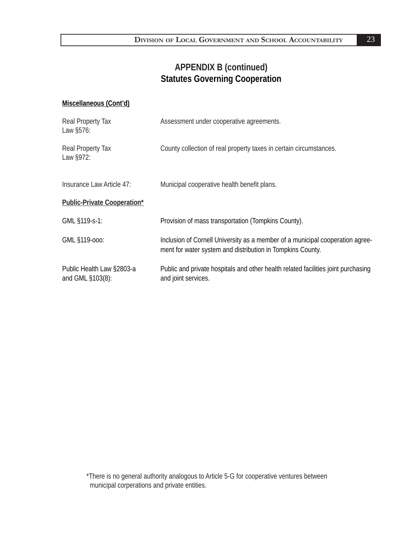#### **Miscellaneous (Cont'd)**

| Real Property Tax<br>Law §576:                | Assessment under cooperative agreements.                                                                                                    |
|-----------------------------------------------|---------------------------------------------------------------------------------------------------------------------------------------------|
| Real Property Tax<br>Law §972:                | County collection of real property taxes in certain circumstances.                                                                          |
| Insurance Law Article 47:                     | Municipal cooperative health benefit plans.                                                                                                 |
| <b>Public-Private Cooperation*</b>            |                                                                                                                                             |
| GML §119-s-1:                                 | Provision of mass transportation (Tompkins County).                                                                                         |
| GML §119-000:                                 | Inclusion of Cornell University as a member of a municipal cooperation agree-<br>ment for water system and distribution in Tompkins County. |
| Public Health Law §2803-a<br>and GML §103(8): | Public and private hospitals and other health related facilities joint purchasing<br>and joint services.                                    |

\*There is no general authority analogous to Article 5-G for cooperative ventures between municipal corperations and private entities.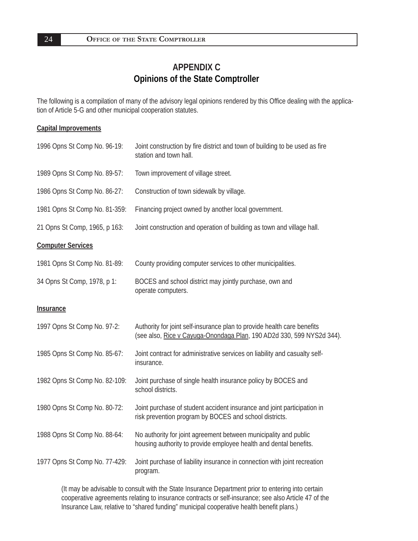# **APPENDIX C Opinions of the State Comptroller**

The following is a compilation of many of the advisory legal opinions rendered by this Office dealing with the application of Article 5-G and other municipal cooperation statutes.

#### **Capital Improvements**

| 1996 Opns St Comp No. 96-19:  | Joint construction by fire district and town of building to be used as fire<br>station and town hall.                                            |
|-------------------------------|--------------------------------------------------------------------------------------------------------------------------------------------------|
| 1989 Opns St Comp No. 89-57:  | Town improvement of village street.                                                                                                              |
| 1986 Opns St Comp No. 86-27:  | Construction of town sidewalk by village.                                                                                                        |
| 1981 Opns St Comp No. 81-359: | Financing project owned by another local government.                                                                                             |
| 21 Opns St Comp, 1965, p 163: | Joint construction and operation of building as town and village hall.                                                                           |
| <b>Computer Services</b>      |                                                                                                                                                  |
| 1981 Opns St Comp No. 81-89:  | County providing computer services to other municipalities.                                                                                      |
| 34 Opns St Comp, 1978, p 1:   | BOCES and school district may jointly purchase, own and<br>operate computers.                                                                    |
| Insurance                     |                                                                                                                                                  |
| 1997 Opns St Comp No. 97-2:   | Authority for joint self-insurance plan to provide health care benefits<br>(see also, Rice v Cayuga-Onondaga Plan, 190 AD2d 330, 599 NYS2d 344). |
| 1985 Opns St Comp No. 85-67:  | Joint contract for administrative services on liability and casualty self-<br>insurance.                                                         |
| 1982 Opns St Comp No. 82-109: | Joint purchase of single health insurance policy by BOCES and<br>school districts.                                                               |
| 1980 Opns St Comp No. 80-72:  | Joint purchase of student accident insurance and joint participation in<br>risk prevention program by BOCES and school districts.                |
| 1988 Opns St Comp No. 88-64:  | No authority for joint agreement between municipality and public<br>housing authority to provide employee health and dental benefits.            |
| 1977 Opns St Comp No. 77-429: | Joint purchase of liability insurance in connection with joint recreation<br>program.                                                            |

(It may be advisable to consult with the State Insurance Department prior to entering into certain cooperative agreements relating to insurance contracts or self-insurance; see also Article 47 of the Insurance Law, relative to "shared funding" municipal cooperative health benefit plans.)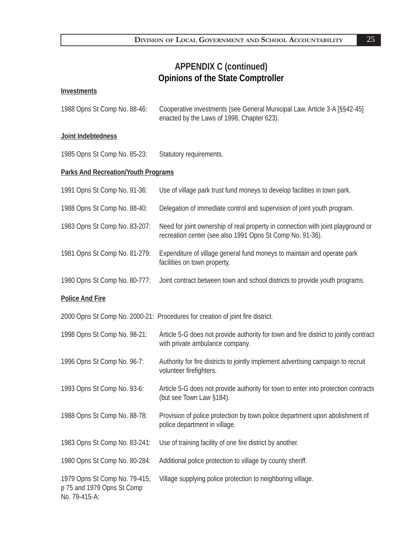# **APPENDIX C (continued) Opinions of the State Comptroller**

#### **Investments**

| 1988 Opns St Comp No. 88-46: | Cooperative investments (see General Municipal Law, Article 3-A [§§42-45] |
|------------------------------|---------------------------------------------------------------------------|
|                              | enacted by the Laws of 1998, Chapter 623).                                |

#### **Joint Indebtedness**

|  | 1985 Opns St Comp No. 85-23: | Statutory requirements. |
|--|------------------------------|-------------------------|
|  |                              |                         |

#### **Parks And Recreation/Youth Programs**

| 1991 Opns St Comp No. 91-36:                                                 | Use of village park trust fund moneys to develop facilities in town park.                                                                     |
|------------------------------------------------------------------------------|-----------------------------------------------------------------------------------------------------------------------------------------------|
| 1988 Opns St Comp No. 88-40:                                                 | Delegation of immediate control and supervision of joint youth program.                                                                       |
| 1983 Opns St Comp No. 83-207:                                                | Need for joint ownership of real property in connection with joint playground or<br>recreation center (see also 1991 Opns St Comp No. 91-36). |
| 1981 Opns St Comp No. 81-279:                                                | Expenditure of village general fund moneys to maintain and operate park<br>facilities on town property.                                       |
| 1980 Opns St Comp No. 80-777:                                                | Joint contract between town and school districts to provide youth programs.                                                                   |
| <b>Police And Fire</b>                                                       |                                                                                                                                               |
|                                                                              | 2000 Opns St Comp No. 2000-21: Procedures for creation of joint fire district.                                                                |
| 1998 Opns St Comp No. 98-21:                                                 | Article 5-G does not provide authority for town and fire district to jointly contract<br>with private ambulance company.                      |
| 1996 Opns St Comp No. 96-7:                                                  | Authority for fire districts to jointly implement advertising campaign to recruit<br>volunteer firefighters.                                  |
| 1993 Opns St Comp No. 93-6:                                                  | Article 5-G does not provide authority for town to enter into protection contracts<br>(but see Town Law §184).                                |
| 1988 Opns St Comp No. 88-78:                                                 | Provision of police protection by town police department upon abolishment of<br>police department in village.                                 |
| 1983 Opns St Comp No. 83-241:                                                | Use of training facility of one fire district by another.                                                                                     |
| 1980 Opns St Comp No. 80-284:                                                | Additional police protection to village by county sheriff.                                                                                    |
| 1979 Opns St Comp No. 79-415,<br>p 75 and 1979 Opns St Comp<br>No. 79-415-A: | Village supplying police protection to neighboring village.                                                                                   |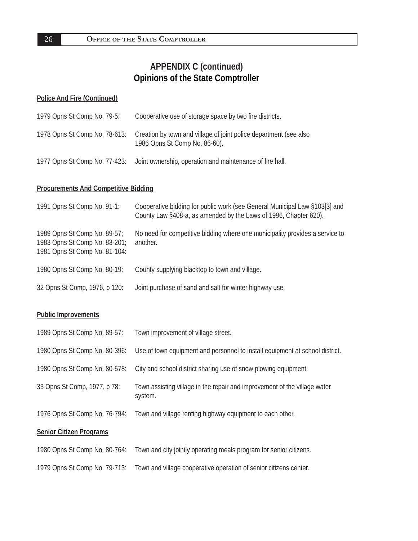# **APPENDIX C (continued) Opinions of the State Comptroller**

#### **Police And Fire (Continued)**

| 1979 Opns St Comp No. 79-5:   | Cooperative use of storage space by two fire districts.                                            |
|-------------------------------|----------------------------------------------------------------------------------------------------|
| 1978 Opns St Comp No. 78-613: | Creation by town and village of joint police department (see also<br>1986 Opns St Comp No. 86-60). |
| 1977 Opns St Comp No. 77-423: | Joint ownership, operation and maintenance of fire hall.                                           |

#### **Procurements And Competitive Bidding**

| 1991 Opns St Comp No. 91-1:                                                                    | Cooperative bidding for public work (see General Municipal Law §103[3] and<br>County Law §408-a, as amended by the Laws of 1996, Chapter 620). |
|------------------------------------------------------------------------------------------------|------------------------------------------------------------------------------------------------------------------------------------------------|
| 1989 Opns St Comp No. 89-57;<br>1983 Opns St Comp No. 83-201;<br>1981 Opns St Comp No. 81-104: | No need for competitive bidding where one municipality provides a service to<br>another.                                                       |
| 1980 Opns St Comp No. 80-19:                                                                   | County supplying blacktop to town and village.                                                                                                 |
| 32 Opns St Comp, 1976, p 120:                                                                  | Joint purchase of sand and salt for winter highway use.                                                                                        |

#### **Public Improvements**

| 1989 Opns St Comp No. 89-57:   | Town improvement of village street.                                                  |
|--------------------------------|--------------------------------------------------------------------------------------|
| 1980 Opns St Comp No. 80-396:  | Use of town equipment and personnel to install equipment at school district.         |
| 1980 Opns St Comp No. 80-578:  | City and school district sharing use of snow plowing equipment.                      |
| 33 Opns St Comp, 1977, p 78:   | Town assisting village in the repair and improvement of the village water<br>system. |
| 1976 Opns St Comp No. 76-794:  | Town and village renting highway equipment to each other.                            |
| <b>Senior Citizen Programs</b> |                                                                                      |
| 1980 Opns St Comp No. 80-764:  | Town and city jointly operating meals program for senior citizens.                   |

1979 Opns St Comp No. 79-713: Town and village cooperative operation of senior citizens center.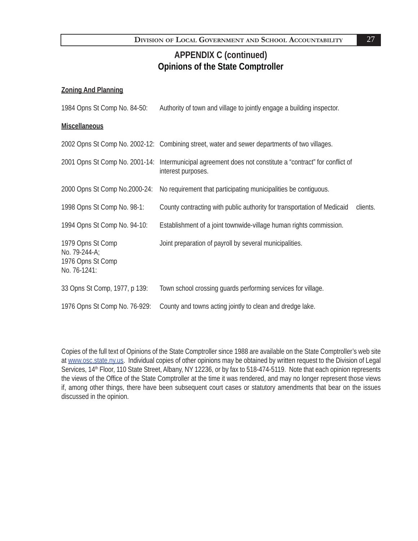# **APPENDIX C (continued) Opinions of the State Comptroller**

#### **Zoning And Planning**

| 1984 Opns St Comp No. 84-50:                                            | Authority of town and village to jointly engage a building inspector.                                                          |          |
|-------------------------------------------------------------------------|--------------------------------------------------------------------------------------------------------------------------------|----------|
| <b>Miscellaneous</b>                                                    |                                                                                                                                |          |
|                                                                         | 2002 Opns St Comp No. 2002-12: Combining street, water and sewer departments of two villages.                                  |          |
|                                                                         | 2001 Opns St Comp No. 2001-14: Intermunicipal agreement does not constitute a "contract" for conflict of<br>interest purposes. |          |
| 2000 Opns St Comp No.2000-24:                                           | No requirement that participating municipalities be contiguous.                                                                |          |
| 1998 Opns St Comp No. 98-1:                                             | County contracting with public authority for transportation of Medicaid                                                        | clients. |
| 1994 Opns St Comp No. 94-10:                                            | Establishment of a joint townwide-village human rights commission.                                                             |          |
| 1979 Opns St Comp<br>No. 79-244-A;<br>1976 Opns St Comp<br>No. 76-1241: | Joint preparation of payroll by several municipalities.                                                                        |          |
| 33 Opns St Comp, 1977, p 139:                                           | Town school crossing guards performing services for village.                                                                   |          |
| 1976 Opns St Comp No. 76-929:                                           | County and towns acting jointly to clean and dredge lake.                                                                      |          |

Copies of the full text of Opinions of the State Comptroller since 1988 are available on the State Comptroller's web site at www.osc.state.ny.us. Individual copies of other opinions may be obtained by written request to the Division of Legal Services, 14<sup>th</sup> Floor, 110 State Street, Albany, NY 12236, or by fax to 518-474-5119. Note that each opinion represents the views of the Office of the State Comptroller at the time it was rendered, and may no longer represent those views if, among other things, there have been subsequent court cases or statutory amendments that bear on the issues discussed in the opinion.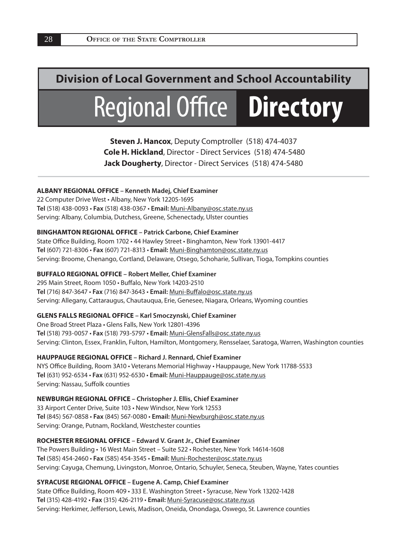# **Division of Local Government and School Accountability**

# **Regional Office Directory**

**Steven J. Hancox**, Deputy Comptroller (518) 474-4037  **Cole H. Hickland**, Director - Direct Services (518) 474-5480 **Jack Dougherty**, Director - Direct Services (518) 474-5480

#### **ALBANY REGIONAL OFFICE – Kenneth Madej, Chief Examiner**

22 Computer Drive West • Albany, New York 12205-1695 **Tel** (518) 438-0093 • **Fax** (518) 438-0367 • **Email:** Muni-Albany@osc.state.ny.us Serving: Albany, Columbia, Dutchess, Greene, Schenectady, Ulster counties

#### **BINGHAMTON REGIONAL OFFICE – Patrick Carbone, Chief Examiner**

State Office Building, Room 1702 · 44 Hawley Street · Binghamton, New York 13901-4417 **Tel** (607) 721-8306 • **Fax** (607) 721-8313 • **Email:** Muni-Binghamton@osc.state.ny.us Serving: Broome, Chenango, Cortland, Delaware, Otsego, Schoharie, Sullivan, Tioga, Tompkins counties

#### **BUFFALO REGIONAL OFFICE – Robert Meller, Chief Examiner**

295 Main Street, Room 1050 • Buffalo, New York 14203-2510 **Tel** (716) 847-3647 • **Fax** (716) 847-3643 • **Email:** Muni-Buff alo@osc.state.ny.us Serving: Allegany, Cattaraugus, Chautauqua, Erie, Genesee, Niagara, Orleans, Wyoming counties

#### **GLENS FALLS REGIONAL OFFICE – Karl Smoczynski, Chief Examiner**

One Broad Street Plaza • Glens Falls, New York 12801-4396 **Tel** (518) 793-0057 • **Fax** (518) 793-5797 • **Email:** Muni-GlensFalls@osc.state.ny.us Serving: Clinton, Essex, Franklin, Fulton, Hamilton, Montgomery, Rensselaer, Saratoga, Warren, Washington counties

**HAUPPAUGE REGIONAL OFFICE – Richard J. Rennard, Chief Examiner** NYS Office Building, Room 3A10 · Veterans Memorial Highway · Hauppauge, New York 11788-5533 **Tel** (631) 952-6534 • **Fax** (631) 952-6530 • **Email:** Muni-Hauppauge@osc.state.ny.us Serving: Nassau, Suffolk counties

#### **NEWBURGH REGIONAL OFFICE – Christopher J. Ellis, Chief Examiner**

33 Airport Center Drive, Suite 103 • New Windsor, New York 12553 **Tel** (845) 567-0858 • **Fax** (845) 567-0080 • **Email:** Muni-Newburgh@osc.state.ny.us Serving: Orange, Putnam, Rockland, Westchester counties

#### **ROCHESTER REGIONAL OFFICE – Edward V. Grant Jr., Chief Examiner**

The Powers Building • 16 West Main Street – Suite 522 • Rochester, New York 14614-1608 **Tel** (585) 454-2460 • **Fax** (585) 454-3545 • **Email:** Muni-Rochester@osc.state.ny.us Serving: Cayuga, Chemung, Livingston, Monroe, Ontario, Schuyler, Seneca, Steuben, Wayne, Yates counties

#### **SYRACUSE REGIONAL OFFICE – Eugene A. Camp, Chief Examiner**

State Office Building, Room 409 · 333 E. Washington Street · Syracuse, New York 13202-1428 **Tel** (315) 428-4192 • **Fax** (315) 426-2119 • **Email:** Muni-Syracuse@osc.state.ny.us Serving: Herkimer, Jefferson, Lewis, Madison, Oneida, Onondaga, Oswego, St. Lawrence counties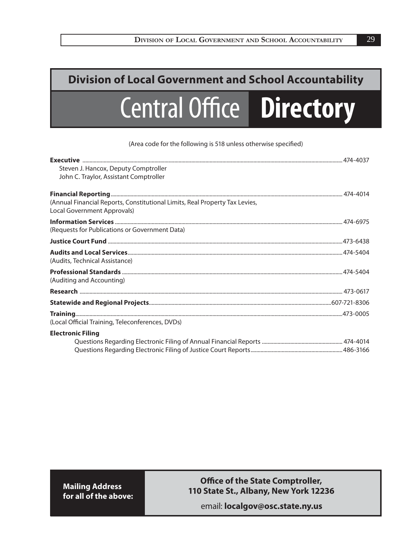# **Central Office Directory Division of Local Government and School Accountability**

(Area code for the following is 518 unless otherwise specified)

| Steven J. Hancox, Deputy Comptroller                                                                       |  |
|------------------------------------------------------------------------------------------------------------|--|
| John C. Traylor, Assistant Comptroller                                                                     |  |
|                                                                                                            |  |
| (Annual Financial Reports, Constitutional Limits, Real Property Tax Levies,<br>Local Government Approvals) |  |
| (Requests for Publications or Government Data)                                                             |  |
|                                                                                                            |  |
| (Audits, Technical Assistance)                                                                             |  |
| (Auditing and Accounting)                                                                                  |  |
|                                                                                                            |  |
|                                                                                                            |  |
| (Local Official Training, Teleconferences, DVDs)                                                           |  |
| <b>Electronic Filing</b>                                                                                   |  |
|                                                                                                            |  |
|                                                                                                            |  |

**Mailing Address for all of the above:**

#### **Office of the State Comptroller, 110 State St., Albany, New York 12236**

email: **localgov@osc.state.ny.us**